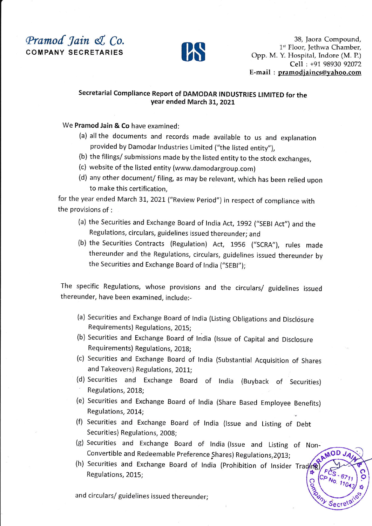## Pramod Jain & Co. COMPANY SECRETARIES



38, Jaora Compound, 1<sup>st</sup> Floor, Jethwa Chamber, Opp. M. Y. Hospital, Indore (M. P.) Cell : +91 98930 92072 E-mail : pramodjaincs@yahoo.com

 $N_{0.}$   $\frac{6711}{1104}$ 

 $\frac{f}{f}$  $\tilde{\mathcal{C}}$  (ce

Outlet of

 $\begin{bmatrix} 677 \\ -677 \\ 11042 \end{bmatrix}$ 

 $\frac{1}{8}$  $cret^{a'}$ 

o .

## Secretarial Compliance Report of DAMODAR INDUSTRIES LIMITED for the year ended March 31, 2021

We Pramod Jain & Co have examined:

- (a) all the documents and records made available to us and explanation provided by Damodar Industries Limited ("the listed entity"),
- (b) the filings/ submissions made by the listed entity to the stock exchanges,
- (c) website of the listed entity (www.damodargroup.com)
- (d) any other document/ filing, as may be relevant, which has been relied upon to make this certification,

for the year ended March 31, 2021 ("Review Period") in respect of compliance with the provisions of:

- (a) the Securities and Exchange Board of India Act, 1992 ("SEBI Act") and the Regulations, circulars, guidelines issued thereunder; and
- (b) the Securities Contracts (Regulation) Act, 1956 ("SCRA"), rules made thereunder and the Regulations, circulars, guidelines issued thereunder by the Securities and Exchange Board of India ("SEBI");

The specific Regulations, whose provisions and the circulars/ guidelines issued thereunder, have been examined, include:-

- (a) Securities and Exchange Board of India (Listing Obligations and Disclosure Requirements) Regulations, 2015;
- (b) Securities and Exchange Board of India (Issue of Capital and Disclosure Requirements) Regulations, 201g;
- (c) securities and Exchange Board of lndia (substantial Acquisition of Shares and Takeovers) Regulations, 2011;
- (d) Securities and Exchange Board of India (Buyback of Securities) Regulations, 2018;
- (e) Securities and Exchange Board of lndia (Share Based Employee Benefits) Regulations, 2014;
- (f) Securities and Exchange Board of tndia (tssue and Listing of Debt Securities) Regulations, 2008;
- (g) Securities and Exchange Board of lndia (lssue and Listing RAMOD Convertible and Redeemable Preference Shares) Regulations, 2013;
- (h) Securities and Exchange Board of tndia (prohibition of lnsider TRegulations, 2015;

and circulars/ guidelines issued thereunder;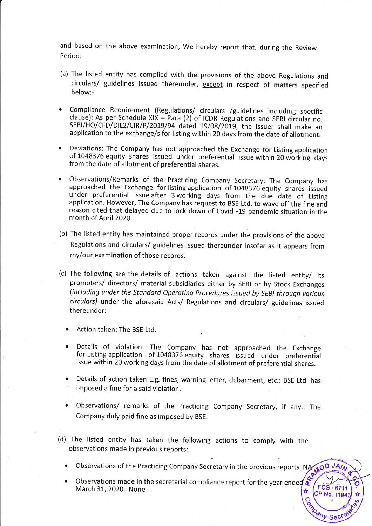and based on the above examination, We hereby report that, during the Review Period:

- (a) The listed entity has complied with the provisions of the above Regulations and circulars/ guidelines issued thereunder, except in respect of matters specified below:-
- . Compliance Requirement (Regulations/ circulars /guidelines including specific clause): As per Schedule XIX - Para (2) of ICDR Regulations and SEBI circular no. SEBI/HO/CFD/DIL2/CIR/P/2019/94 dated 19/08/2019, the Issuer shall make an application to the exchange/s for listing within 20 days from the date of allotment.
- Deviations: The Company has not approached the Exchange for Listing application of 1048376 equity shares issued under preferential issue within 20 working days from the date of allotment of preferential shares.
- r Observations/Remarks of the practicing Company Secretary: The Company has approached the Exchange for listing application of 104g376 equity shares issued under preferential issue after 3 working days from the due date of Listing application. However, The Company has request to BSE Ltd. to wave off the fine and reason cited that delayed due to lock down of covid -19 pandemic situation in the month of April 2020.
- (b) The listed entity has maintained proper records under the provisions of the above Regulations and circulars/ guidelines issued thereunder insofar as it appears from my/our examination of those records.
- (c) The following are the details of actions taken against the listed entity/ its promoters/ directors/ material subsidiaries either by SEBI or by Stock Exchanges (including under the Standard Operating Procedures issued by SEBI through various circulars) under the aforesaid Acts/ Regulations and circulars/ guidelines issued thereunder:
	- . Action taken: The BSE Ltd.
	- Details of violation: The Company has not approached the Exchange for Listing application of 1048376 equity shares issued under preferential issue within 20 working days from the date of allotment of preferential shares.
	- Details of action taken E.g. fines, warning letter, debarment, etc.: BSE Ltd. has imposed a fine for a said violation.
	- Observations/ remarks of the Practicing Company Secretary, if any.: The Company duly paid fine as imposed by BSE.
- The listed entity has taken the following actions to comply with the (d)observations made in previous reports:
	- Observations of the Practicing Company Secretary in the previous reports. NA  $A$ OD JA $n$

 $FCS - 6711$ CP No. 1194

any Sec

Observations made in the secretarial compliance report for the year ended  $\hat{\mathcal{E}}$ March 31, 2020. None